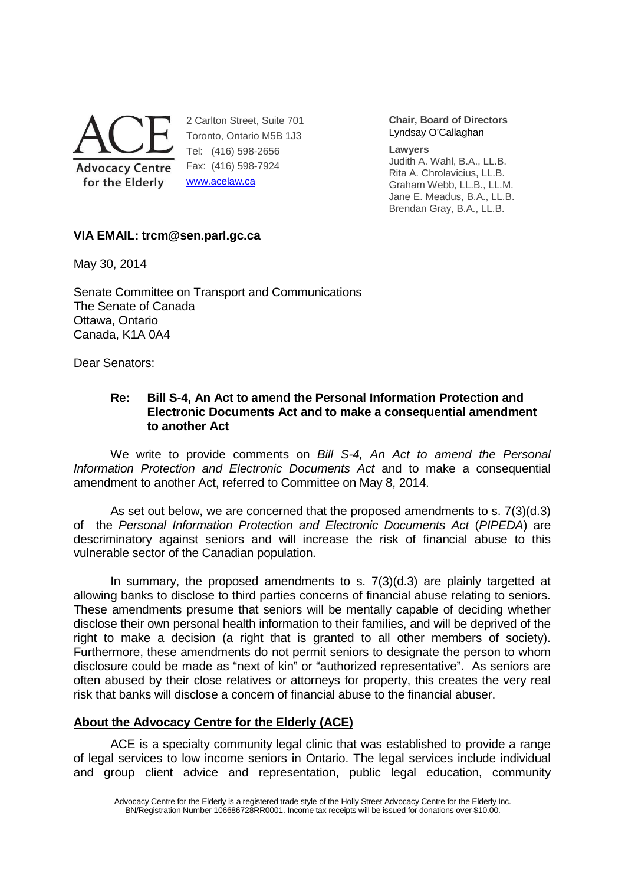

2 Carlton Street, Suite 701 Toronto, Ontario M5B 1J3 Tel: (416) 598-2656 Fax: (416) 598-7924 www.acelaw.ca

**Chair, Board of Directors** Lyndsay O'Callaghan

**Lawyers** 

Judith A. Wahl, B.A., LL.B. Rita A. Chrolavicius, LL.B. Graham Webb, LL.B., LL.M. Jane E. Meadus, B.A., LL.B. Brendan Gray, B.A., LL.B.

# **VIA EMAIL: trcm@sen.parl.gc.ca**

May 30, 2014

Senate Committee on Transport and Communications The Senate of Canada Ottawa, Ontario Canada, K1A 0A4

Dear Senators:

### **Re: Bill S-4, An Act to amend the Personal Information Protection and Electronic Documents Act and to make a consequential amendment to another Act**

We write to provide comments on Bill S-4, An Act to amend the Personal Information Protection and Electronic Documents Act and to make a consequential amendment to another Act, referred to Committee on May 8, 2014.

 As set out below, we are concerned that the proposed amendments to s. 7(3)(d.3) of the Personal Information Protection and Electronic Documents Act (PIPEDA) are descriminatory against seniors and will increase the risk of financial abuse to this vulnerable sector of the Canadian population.

 In summary, the proposed amendments to s. 7(3)(d.3) are plainly targetted at allowing banks to disclose to third parties concerns of financial abuse relating to seniors. These amendments presume that seniors will be mentally capable of deciding whether disclose their own personal health information to their families, and will be deprived of the right to make a decision (a right that is granted to all other members of society). Furthermore, these amendments do not permit seniors to designate the person to whom disclosure could be made as "next of kin" or "authorized representative". As seniors are often abused by their close relatives or attorneys for property, this creates the very real risk that banks will disclose a concern of financial abuse to the financial abuser.

# **About the Advocacy Centre for the Elderly (ACE)**

ACE is a specialty community legal clinic that was established to provide a range of legal services to low income seniors in Ontario. The legal services include individual and group client advice and representation, public legal education, community

Advocacy Centre for the Elderly is a registered trade style of the Holly Street Advocacy Centre for the Elderly Inc. BN/Registration Number 106686728RR0001. Income tax receipts will be issued for donations over \$10.00.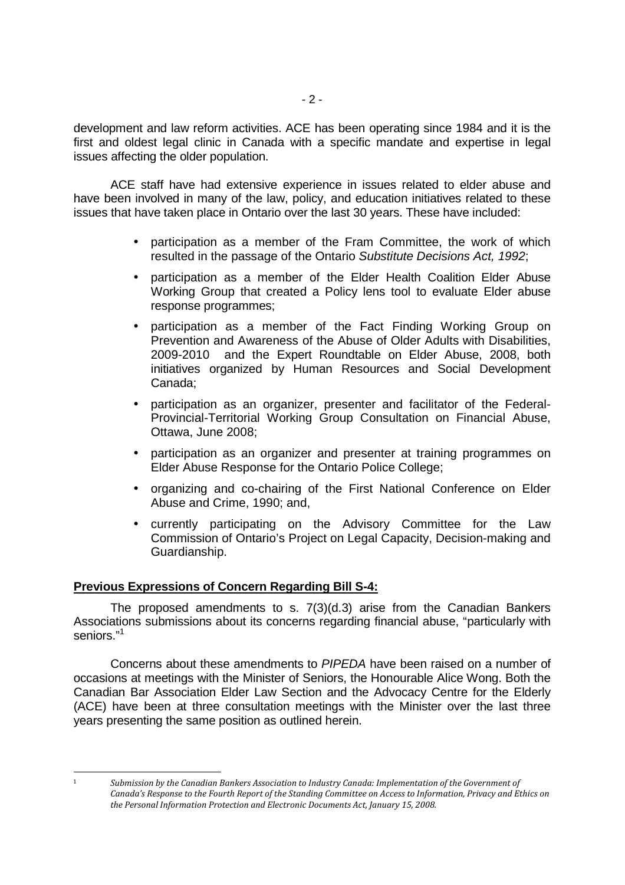development and law reform activities. ACE has been operating since 1984 and it is the first and oldest legal clinic in Canada with a specific mandate and expertise in legal issues affecting the older population.

ACE staff have had extensive experience in issues related to elder abuse and have been involved in many of the law, policy, and education initiatives related to these issues that have taken place in Ontario over the last 30 years. These have included:

- participation as a member of the Fram Committee, the work of which resulted in the passage of the Ontario Substitute Decisions Act, 1992;
- participation as a member of the Elder Health Coalition Elder Abuse Working Group that created a Policy lens tool to evaluate Elder abuse response programmes;
- participation as a member of the Fact Finding Working Group on Prevention and Awareness of the Abuse of Older Adults with Disabilities, 2009-2010 and the Expert Roundtable on Elder Abuse, 2008, both initiatives organized by Human Resources and Social Development Canada;
- participation as an organizer, presenter and facilitator of the Federal-Provincial-Territorial Working Group Consultation on Financial Abuse, Ottawa, June 2008;
- participation as an organizer and presenter at training programmes on Elder Abuse Response for the Ontario Police College;
- organizing and co-chairing of the First National Conference on Elder Abuse and Crime, 1990; and,
- currently participating on the Advisory Committee for the Law Commission of Ontario's Project on Legal Capacity, Decision-making and Guardianship.

### **Previous Expressions of Concern Regarding Bill S-4:**

The proposed amendments to s. 7(3)(d.3) arise from the Canadian Bankers Associations submissions about its concerns regarding financial abuse, "particularly with seniors."<sup>1</sup>

Concerns about these amendments to PIPEDA have been raised on a number of occasions at meetings with the Minister of Seniors, the Honourable Alice Wong. Both the Canadian Bar Association Elder Law Section and the Advocacy Centre for the Elderly (ACE) have been at three consultation meetings with the Minister over the last three years presenting the same position as outlined herein.

<sup>-</sup>

<sup>1</sup> *Submission by the Canadian Bankers Association to Industry Canada: Implementation of the Government of Canada's Response to the Fourth Report of the Standing Committee on Access to Information, Privacy and Ethics on the Personal Information Protection and Electronic Documents Act, January 15, 2008.*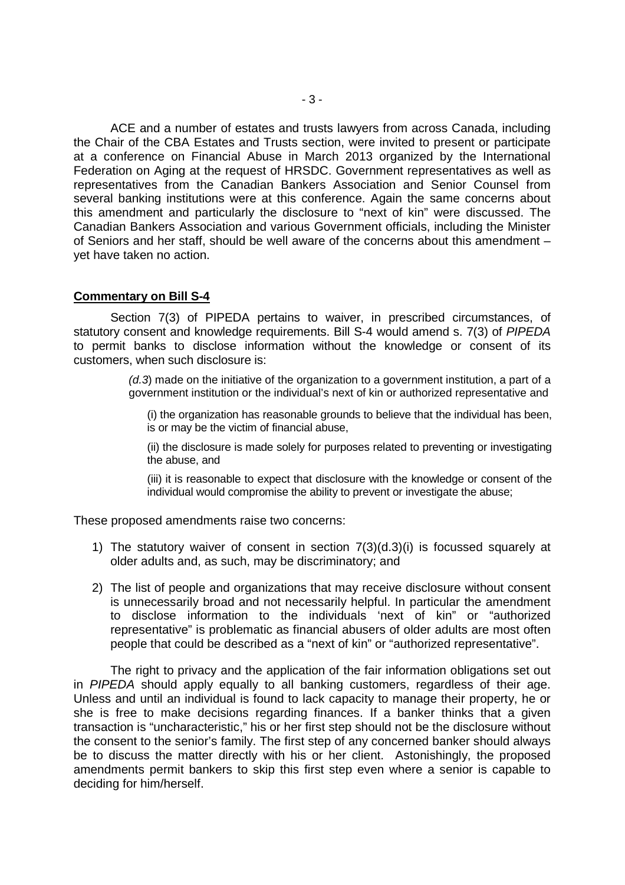ACE and a number of estates and trusts lawyers from across Canada, including the Chair of the CBA Estates and Trusts section, were invited to present or participate at a conference on Financial Abuse in March 2013 organized by the International Federation on Aging at the request of HRSDC. Government representatives as well as representatives from the Canadian Bankers Association and Senior Counsel from several banking institutions were at this conference. Again the same concerns about this amendment and particularly the disclosure to "next of kin" were discussed. The Canadian Bankers Association and various Government officials, including the Minister of Seniors and her staff, should be well aware of the concerns about this amendment – yet have taken no action.

#### **Commentary on Bill S-4**

Section 7(3) of PIPEDA pertains to waiver, in prescribed circumstances, of statutory consent and knowledge requirements. Bill S-4 would amend s. 7(3) of PIPEDA to permit banks to disclose information without the knowledge or consent of its customers, when such disclosure is:

> $(d.3)$  made on the initiative of the organization to a government institution, a part of a government institution or the individual's next of kin or authorized representative and

(i) the organization has reasonable grounds to believe that the individual has been, is or may be the victim of financial abuse,

(ii) the disclosure is made solely for purposes related to preventing or investigating the abuse, and

(iii) it is reasonable to expect that disclosure with the knowledge or consent of the individual would compromise the ability to prevent or investigate the abuse;

These proposed amendments raise two concerns:

- 1) The statutory waiver of consent in section 7(3)(d.3)(i) is focussed squarely at older adults and, as such, may be discriminatory; and
- 2) The list of people and organizations that may receive disclosure without consent is unnecessarily broad and not necessarily helpful. In particular the amendment to disclose information to the individuals 'next of kin" or "authorized representative" is problematic as financial abusers of older adults are most often people that could be described as a "next of kin" or "authorized representative".

The right to privacy and the application of the fair information obligations set out in PIPEDA should apply equally to all banking customers, regardless of their age. Unless and until an individual is found to lack capacity to manage their property, he or she is free to make decisions regarding finances. If a banker thinks that a given transaction is "uncharacteristic," his or her first step should not be the disclosure without the consent to the senior's family. The first step of any concerned banker should always be to discuss the matter directly with his or her client. Astonishingly, the proposed amendments permit bankers to skip this first step even where a senior is capable to deciding for him/herself.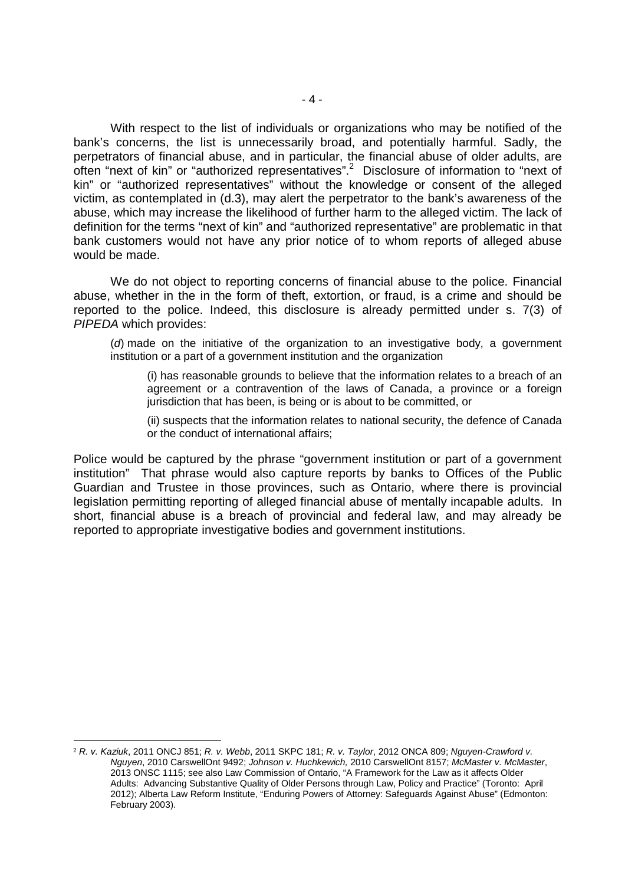With respect to the list of individuals or organizations who may be notified of the bank's concerns, the list is unnecessarily broad, and potentially harmful. Sadly, the perpetrators of financial abuse, and in particular, the financial abuse of older adults, are often "next of kin" or "authorized representatives".<sup>2</sup> Disclosure of information to "next of kin" or "authorized representatives" without the knowledge or consent of the alleged victim, as contemplated in (d.3), may alert the perpetrator to the bank's awareness of the abuse, which may increase the likelihood of further harm to the alleged victim. The lack of definition for the terms "next of kin" and "authorized representative" are problematic in that bank customers would not have any prior notice of to whom reports of alleged abuse would be made.

We do not object to reporting concerns of financial abuse to the police. Financial abuse, whether in the in the form of theft, extortion, or fraud, is a crime and should be reported to the police. Indeed, this disclosure is already permitted under s. 7(3) of PIPEDA which provides:

(d) made on the initiative of the organization to an investigative body, a government institution or a part of a government institution and the organization

(i) has reasonable grounds to believe that the information relates to a breach of an agreement or a contravention of the laws of Canada, a province or a foreign jurisdiction that has been, is being or is about to be committed, or

(ii) suspects that the information relates to national security, the defence of Canada or the conduct of international affairs;

Police would be captured by the phrase "government institution or part of a government institution" That phrase would also capture reports by banks to Offices of the Public Guardian and Trustee in those provinces, such as Ontario, where there is provincial legislation permitting reporting of alleged financial abuse of mentally incapable adults. In short, financial abuse is a breach of provincial and federal law, and may already be reported to appropriate investigative bodies and government institutions.

-

<sup>2</sup> R. v. Kaziuk, 2011 ONCJ 851; R. v. Webb, 2011 SKPC 181; R. v. Taylor, 2012 ONCA 809; Nguyen-Crawford v. Nguyen, 2010 CarswellOnt 9492; Johnson v. Huchkewich, 2010 CarswellOnt 8157; McMaster v. McMaster, 2013 ONSC 1115; see also Law Commission of Ontario, "A Framework for the Law as it affects Older Adults: Advancing Substantive Quality of Older Persons through Law, Policy and Practice" (Toronto: April 2012); Alberta Law Reform Institute, "Enduring Powers of Attorney: Safeguards Against Abuse" (Edmonton: February 2003).